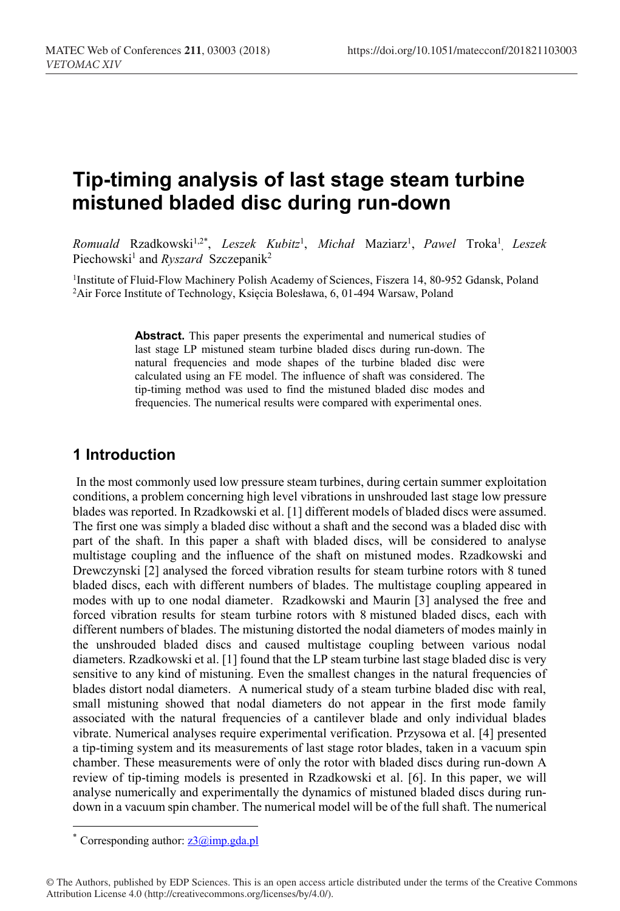# **Tip-timing analysis of last stage steam turbine mistuned bladed disc during run-down**

*Romuald* Rzadkowski<sup>1,2\*</sup>, *Leszek Kubitz<sup>1</sup>, Michał* Maziarz<sup>1</sup>, *Pawel* Troka<sup>1</sup>, *Leszek* Piechowski<sup>1</sup> and *Ryszard* Szczepanik<sup>2</sup>

<sup>1</sup>Institute of Fluid-Flow Machinery Polish Academy of Sciences, Fiszera 14, 80-952 Gdansk, Poland Air Force Institute of Technology, Księcia Bolesława, 6, 01-494 Warsaw, Poland

> **Abstract.** This paper presents the experimental and numerical studies of last stage LP mistuned steam turbine bladed discs during run-down. The natural frequencies and mode shapes of the turbine bladed disc were calculated using an FE model. The influence of shaft was considered. The tip-timing method was used to find the mistuned bladed disc modes and frequencies. The numerical results were compared with experimental ones.

### **1 Introduction**

 In the most commonly used low pressure steam turbines, during certain summer exploitation conditions, a problem concerning high level vibrations in unshrouded last stage low pressure blades was reported. In Rzadkowski et al. [1] different models of bladed discs were assumed. The first one was simply a bladed disc without a shaft and the second was a bladed disc with part of the shaft. In this paper a shaft with bladed discs, will be considered to analyse multistage coupling and the influence of the shaft on mistuned modes. Rzadkowski and Drewczynski [2] analysed the forced vibration results for steam turbine rotors with 8 tuned bladed discs, each with different numbers of blades. The multistage coupling appeared in modes with up to one nodal diameter. Rzadkowski and Maurin [3] analysed the free and forced vibration results for steam turbine rotors with 8 mistuned bladed discs, each with different numbers of blades. The mistuning distorted the nodal diameters of modes mainly in the unshrouded bladed discs and caused multistage coupling between various nodal diameters. Rzadkowski et al. [1] found that the LP steam turbine last stage bladed disc is very sensitive to any kind of mistuning. Even the smallest changes in the natural frequencies of blades distort nodal diameters. A numerical study of a steam turbine bladed disc with real, small mistuning showed that nodal diameters do not appear in the first mode family associated with the natural frequencies of a cantilever blade and only individual blades vibrate. Numerical analyses require experimental verification. Przysowa et al. [4] presented a tip-timing system and its measurements of last stage rotor blades, taken in a vacuum spin chamber. These measurements were of only the rotor with bladed discs during run-down A review of tip-timing models is presented in Rzadkowski et al. [6]. In this paper, we will analyse numerically and experimentally the dynamics of mistuned bladed discs during rundown in a vacuum spin chamber. The numerical model will be of the full shaft. The numerical

 $\overline{a}$ 

<sup>\*</sup> Corresponding author:  $z^3$   $\omega$  imp.gda.pl

<sup>©</sup> The Authors, published by EDP Sciences. This is an open access article distributed under the terms of the Creative Commons Attribution License 4.0 (http://creativecommons.org/licenses/by/4.0/).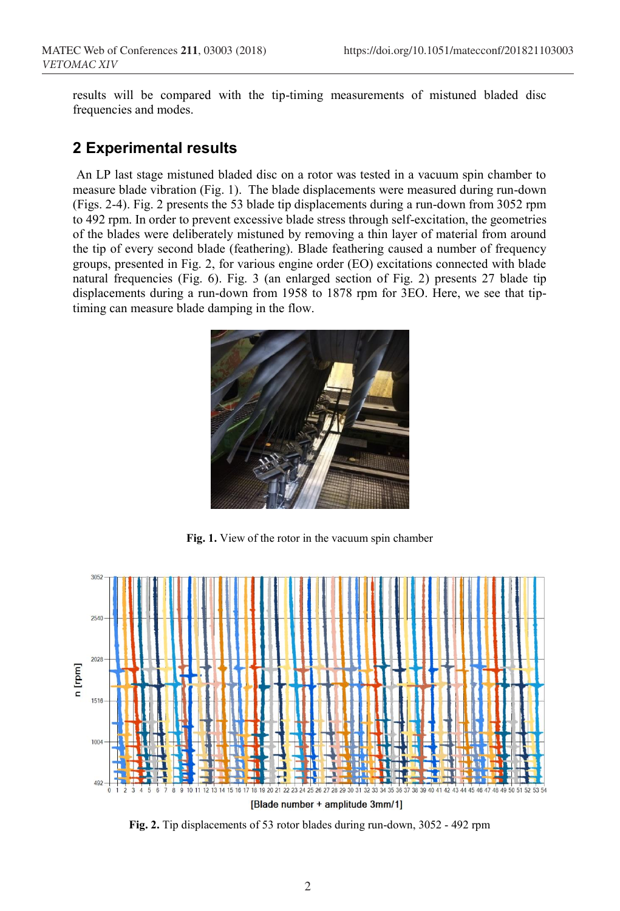results will be compared with the tip-timing measurements of mistuned bladed disc frequencies and modes.

#### **2 Experimental results**

An LP last stage mistuned bladed disc on a rotor was tested in a vacuum spin chamber to measure blade vibration (Fig. 1). The blade displacements were measured during run-down (Figs. 2-4). Fig. 2 presents the 53 blade tip displacements during a run-down from 3052 rpm to 492 rpm. In order to prevent excessive blade stress through self-excitation, the geometries of the blades were deliberately mistuned by removing a thin layer of material from around the tip of every second blade (feathering). Blade feathering caused a number of frequency groups, presented in Fig. 2, for various engine order (EO) excitations connected with blade natural frequencies (Fig. 6). Fig. 3 (an enlarged section of Fig. 2) presents 27 blade tip displacements during a run-down from 1958 to 1878 rpm for 3EO. Here, we see that tiptiming can measure blade damping in the flow.



**Fig. 1.** View of the rotor in the vacuum spin chamber



**Fig. 2.** Tip displacements of 53 rotor blades during run-down, 3052 - 492 rpm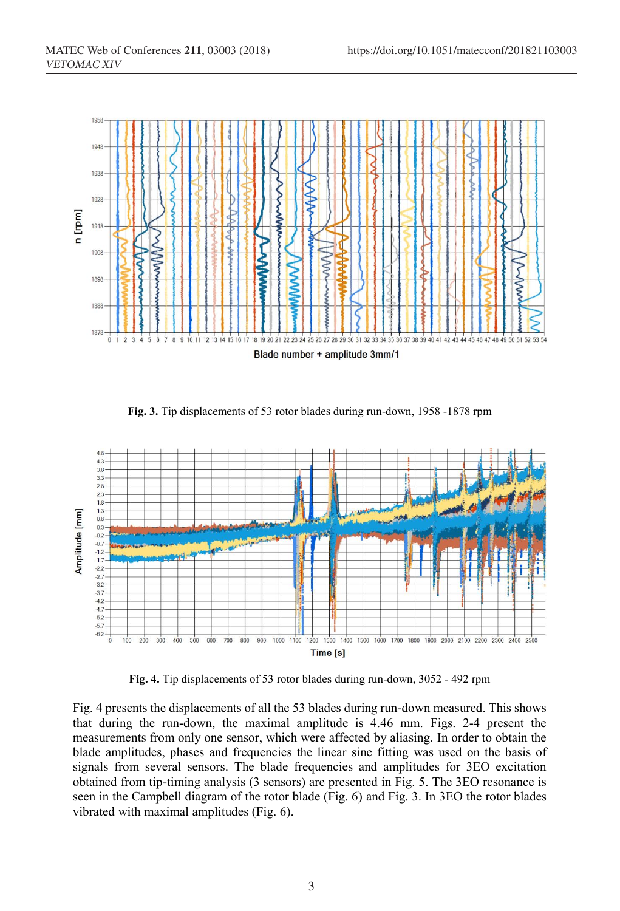

**Fig. 3.** Tip displacements of 53 rotor blades during run-down, 1958 -1878 rpm



**Fig. 4.** Tip displacements of 53 rotor blades during run-down, 3052 - 492 rpm

Fig. 4 presents the displacements of all the 53 blades during run-down measured. This shows that during the run-down, the maximal amplitude is 4.46 mm. Figs. 2-4 present the measurements from only one sensor, which were affected by aliasing. In order to obtain the blade amplitudes, phases and frequencies the linear sine fitting was used on the basis of signals from several sensors. The blade frequencies and amplitudes for 3EO excitation obtained from tip-timing analysis (3 sensors) are presented in Fig. 5. The 3EO resonance is seen in the Campbell diagram of the rotor blade (Fig. 6) and Fig. 3. In 3EO the rotor blades vibrated with maximal amplitudes (Fig. 6).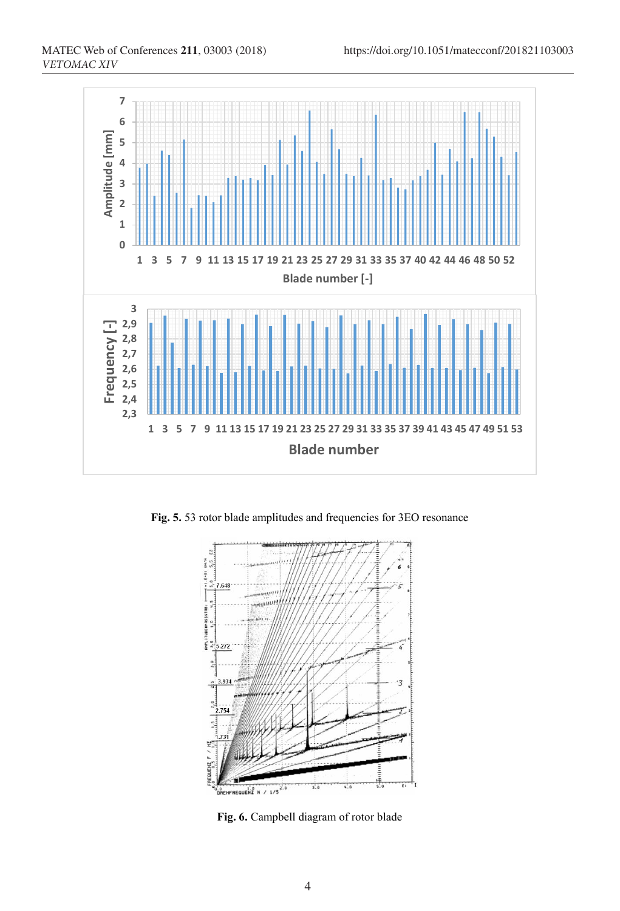

**Fig. 5.** 53 rotor blade amplitudes and frequencies for 3EO resonance



**Fig. 6.** Campbell diagram of rotor blade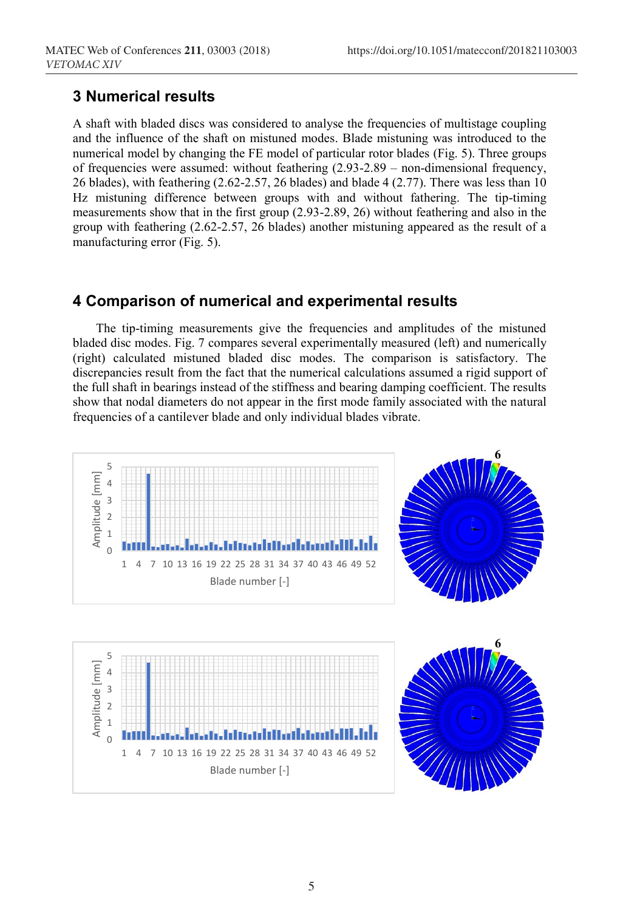#### **3 Numerical results**

A shaft with bladed discs was considered to analyse the frequencies of multistage coupling and the influence of the shaft on mistuned modes. Blade mistuning was introduced to the numerical model by changing the FE model of particular rotor blades (Fig. 5). Three groups of frequencies were assumed: without feathering (2.93-2.89 – non-dimensional frequency, 26 blades), with feathering (2.62-2.57, 26 blades) and blade 4 (2.77). There was less than 10 Hz mistuning difference between groups with and without fathering. The tip-timing measurements show that in the first group (2.93-2.89, 26) without feathering and also in the group with feathering (2.62-2.57, 26 blades) another mistuning appeared as the result of a manufacturing error (Fig. 5).

# **4 Comparison of numerical and experimental results**

The tip-timing measurements give the frequencies and amplitudes of the mistuned bladed disc modes. Fig. 7 compares several experimentally measured (left) and numerically (right) calculated mistuned bladed disc modes. The comparison is satisfactory. The discrepancies result from the fact that the numerical calculations assumed a rigid support of the full shaft in bearings instead of the stiffness and bearing damping coefficient. The results show that nodal diameters do not appear in the first mode family associated with the natural frequencies of a cantilever blade and only individual blades vibrate.